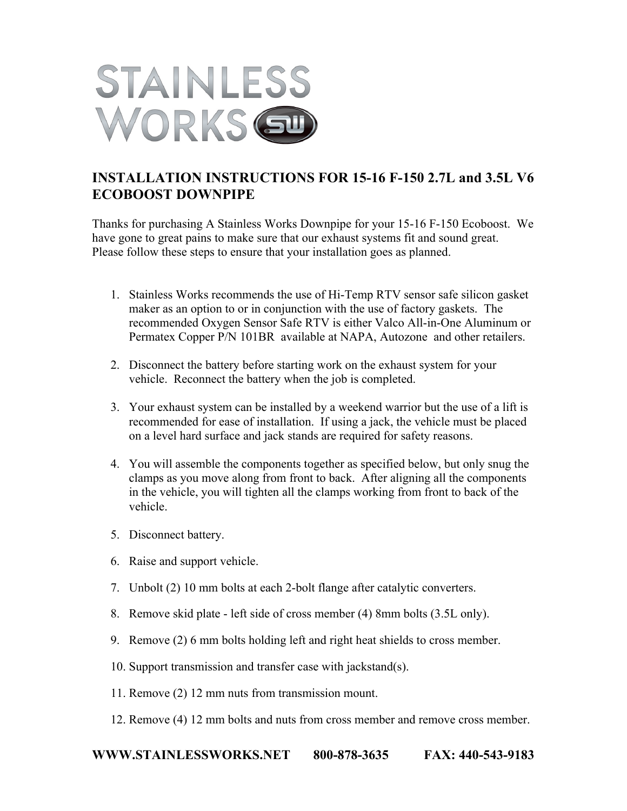

## **INSTALLATION INSTRUCTIONS FOR 15-16 F-150 2.7L and 3.5L V6 ECOBOOST DOWNPIPE**

Thanks for purchasing A Stainless Works Downpipe for your 15-16 F-150 Ecoboost. We have gone to great pains to make sure that our exhaust systems fit and sound great. Please follow these steps to ensure that your installation goes as planned.

- 1. Stainless Works recommends the use of Hi-Temp RTV sensor safe silicon gasket maker as an option to or in conjunction with the use of factory gaskets. The recommended Oxygen Sensor Safe RTV is either Valco All-in-One Aluminum or Permatex Copper P/N 101BR available at NAPA, Autozone and other retailers.
- 2. Disconnect the battery before starting work on the exhaust system for your vehicle. Reconnect the battery when the job is completed.
- 3. Your exhaust system can be installed by a weekend warrior but the use of a lift is recommended for ease of installation. If using a jack, the vehicle must be placed on a level hard surface and jack stands are required for safety reasons.
- 4. You will assemble the components together as specified below, but only snug the clamps as you move along from front to back. After aligning all the components in the vehicle, you will tighten all the clamps working from front to back of the vehicle.
- 5. Disconnect battery.
- 6. Raise and support vehicle.
- 7. Unbolt (2) 10 mm bolts at each 2-bolt flange after catalytic converters.
- 8. Remove skid plate left side of cross member (4) 8mm bolts (3.5L only).
- 9. Remove (2) 6 mm bolts holding left and right heat shields to cross member.
- 10. Support transmission and transfer case with jackstand(s).
- 11. Remove (2) 12 mm nuts from transmission mount.
- 12. Remove (4) 12 mm bolts and nuts from cross member and remove cross member.